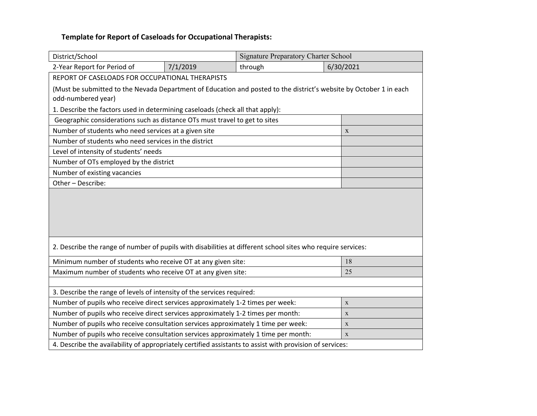| District/School                                                                                                                          |             | <b>Signature Preparatory Charter School</b> |  |           |  |  |  |
|------------------------------------------------------------------------------------------------------------------------------------------|-------------|---------------------------------------------|--|-----------|--|--|--|
| 2-Year Report for Period of                                                                                                              | 7/1/2019    | through                                     |  | 6/30/2021 |  |  |  |
| REPORT OF CASELOADS FOR OCCUPATIONAL THERAPISTS                                                                                          |             |                                             |  |           |  |  |  |
| (Must be submitted to the Nevada Department of Education and posted to the district's website by October 1 in each<br>odd-numbered year) |             |                                             |  |           |  |  |  |
| 1. Describe the factors used in determining caseloads (check all that apply):                                                            |             |                                             |  |           |  |  |  |
| Geographic considerations such as distance OTs must travel to get to sites                                                               |             |                                             |  |           |  |  |  |
| Number of students who need services at a given site                                                                                     | $\mathbf X$ |                                             |  |           |  |  |  |
| Number of students who need services in the district                                                                                     |             |                                             |  |           |  |  |  |
| Level of intensity of students' needs                                                                                                    |             |                                             |  |           |  |  |  |
| Number of OTs employed by the district                                                                                                   |             |                                             |  |           |  |  |  |
| Number of existing vacancies                                                                                                             |             |                                             |  |           |  |  |  |
| Other - Describe:                                                                                                                        |             |                                             |  |           |  |  |  |
|                                                                                                                                          |             |                                             |  |           |  |  |  |
| 2. Describe the range of number of pupils with disabilities at different school sites who require services:                              |             |                                             |  |           |  |  |  |
| Minimum number of students who receive OT at any given site:                                                                             |             |                                             |  | 18        |  |  |  |
| Maximum number of students who receive OT at any given site:                                                                             |             |                                             |  | 25        |  |  |  |
|                                                                                                                                          |             |                                             |  |           |  |  |  |
| 3. Describe the range of levels of intensity of the services required:                                                                   |             |                                             |  |           |  |  |  |
| Number of pupils who receive direct services approximately 1-2 times per week:                                                           |             |                                             |  | X         |  |  |  |
| Number of pupils who receive direct services approximately 1-2 times per month:                                                          | X           |                                             |  |           |  |  |  |
| Number of pupils who receive consultation services approximately 1 time per week:                                                        | X           |                                             |  |           |  |  |  |
| Number of pupils who receive consultation services approximately 1 time per month:<br>$\mathbf X$                                        |             |                                             |  |           |  |  |  |
| 4. Describe the availability of appropriately certified assistants to assist with provision of services:                                 |             |                                             |  |           |  |  |  |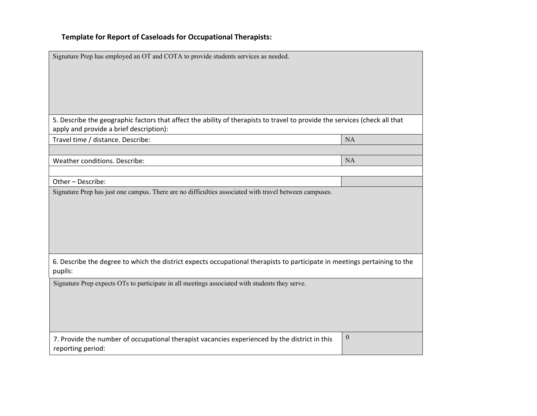| Signature Prep has employed an OT and COTA to provide students services as needed.                                                                                                              |                  |  |  |  |  |
|-------------------------------------------------------------------------------------------------------------------------------------------------------------------------------------------------|------------------|--|--|--|--|
| 5. Describe the geographic factors that affect the ability of therapists to travel to provide the services (check all that<br>apply and provide a brief description):                           |                  |  |  |  |  |
| Travel time / distance. Describe:                                                                                                                                                               | NA               |  |  |  |  |
| Weather conditions. Describe:                                                                                                                                                                   | NA               |  |  |  |  |
| Other-Describe:                                                                                                                                                                                 |                  |  |  |  |  |
| Signature Prep has just one campus. There are no difficulties associated with travel between campuses.                                                                                          |                  |  |  |  |  |
| 6. Describe the degree to which the district expects occupational therapists to participate in meetings pertaining to the<br>pupils:                                                            |                  |  |  |  |  |
| Signature Prep expects OTs to participate in all meetings associated with students they serve.<br>7. Provide the number of occupational therapist vacancies experienced by the district in this | $\boldsymbol{0}$ |  |  |  |  |
| reporting period:                                                                                                                                                                               |                  |  |  |  |  |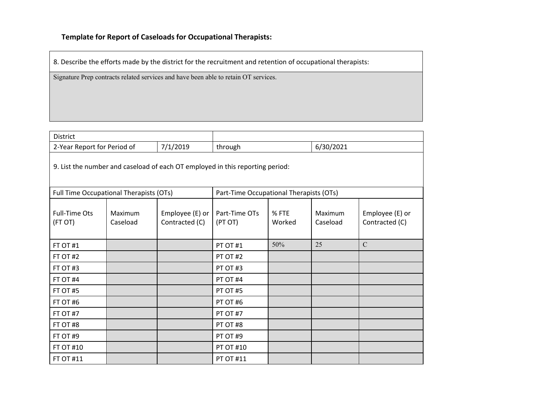8. Describe the efforts made by the district for the recruitment and retention of occupational therapists:

Signature Prep contracts related services and have been able to retain OT services.

| <b>District</b>                                                               |                     |                                         |                          |                 |                     |                                   |
|-------------------------------------------------------------------------------|---------------------|-----------------------------------------|--------------------------|-----------------|---------------------|-----------------------------------|
| 2-Year Report for Period of                                                   |                     | 7/1/2019                                | through                  |                 | 6/30/2021           |                                   |
| 9. List the number and caseload of each OT employed in this reporting period: |                     |                                         |                          |                 |                     |                                   |
| Full Time Occupational Therapists (OTs)                                       |                     | Part-Time Occupational Therapists (OTs) |                          |                 |                     |                                   |
| <b>Full-Time Ots</b><br>(FT OT)                                               | Maximum<br>Caseload | Employee (E) or $ $<br>Contracted (C)   | Part-Time OTs<br>(PT OT) | % FTE<br>Worked | Maximum<br>Caseload | Employee (E) or<br>Contracted (C) |
| FT OT #1                                                                      |                     |                                         | PT OT #1                 | 50%             | 25                  | $\mathbf C$                       |
| FT OT #2                                                                      |                     |                                         | PT OT #2                 |                 |                     |                                   |
| FT OT #3                                                                      |                     |                                         | PT OT #3                 |                 |                     |                                   |
| FT OT #4                                                                      |                     |                                         | PT OT #4                 |                 |                     |                                   |
| FT OT #5                                                                      |                     |                                         | PT OT #5                 |                 |                     |                                   |
| FT OT #6                                                                      |                     |                                         | PT OT #6                 |                 |                     |                                   |
| FT OT #7                                                                      |                     |                                         | PT OT #7                 |                 |                     |                                   |
| FT OT #8                                                                      |                     |                                         | PT OT #8                 |                 |                     |                                   |
| FT OT #9                                                                      |                     |                                         | PT OT #9                 |                 |                     |                                   |
| <b>FT OT #10</b>                                                              |                     |                                         | <b>PT OT #10</b>         |                 |                     |                                   |
| FT OT #11                                                                     |                     |                                         | <b>PT OT #11</b>         |                 |                     |                                   |